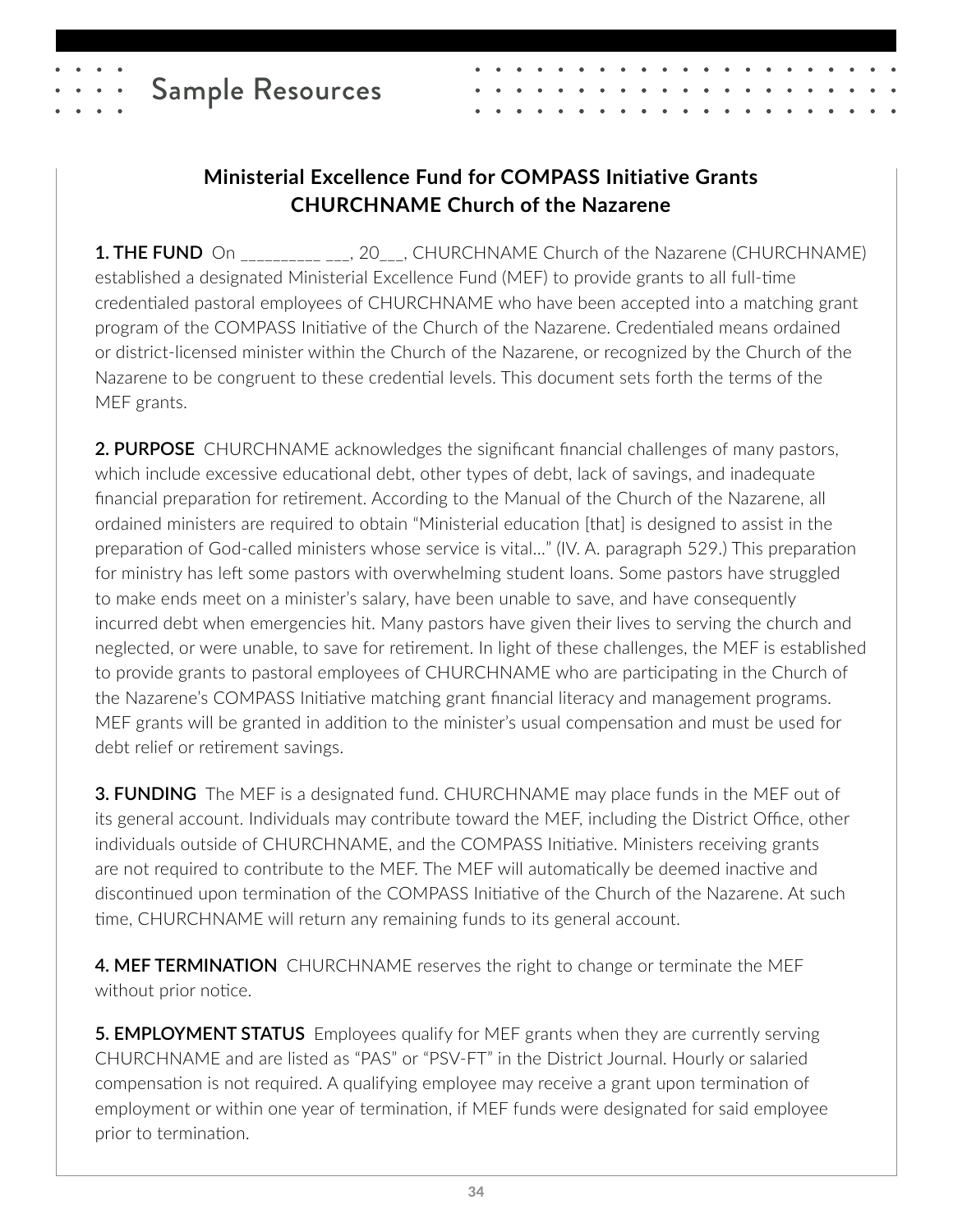# Sample Resources

#### **Ministerial Excellence Fund for COMPASS Initiative Grants CHURCHNAME Church of the Nazarene**

**1. THE FUND** On \_\_\_\_\_\_\_\_\_\_\_\_\_\_, 20\_\_\_, CHURCHNAME Church of the Nazarene (CHURCHNAME) established a designated Ministerial Excellence Fund (MEF) to provide grants to all full-time credentialed pastoral employees of CHURCHNAME who have been accepted into a matching grant program of the COMPASS Initiative of the Church of the Nazarene. Credentialed means ordained or district-licensed minister within the Church of the Nazarene, or recognized by the Church of the Nazarene to be congruent to these credential levels. This document sets forth the terms of the MEF grants.

**2. PURPOSE** CHURCHNAME acknowledges the significant financial challenges of many pastors, which include excessive educational debt, other types of debt, lack of savings, and inadequate financial preparation for retirement. According to the Manual of the Church of the Nazarene, all ordained ministers are required to obtain "Ministerial education [that] is designed to assist in the preparation of God-called ministers whose service is vital…" (IV. A. paragraph 529.) This preparation for ministry has left some pastors with overwhelming student loans. Some pastors have struggled to make ends meet on a minister's salary, have been unable to save, and have consequently incurred debt when emergencies hit. Many pastors have given their lives to serving the church and neglected, or were unable, to save for retirement. In light of these challenges, the MEF is established to provide grants to pastoral employees of CHURCHNAME who are participating in the Church of the Nazarene's COMPASS Initiative matching grant financial literacy and management programs. MEF grants will be granted in addition to the minister's usual compensation and must be used for debt relief or retirement savings.

**3. FUNDING** The MEF is a designated fund. CHURCHNAME may place funds in the MEF out of its general account. Individuals may contribute toward the MEF, including the District Office, other individuals outside of CHURCHNAME, and the COMPASS Initiative. Ministers receiving grants are not required to contribute to the MEF. The MEF will automatically be deemed inactive and discontinued upon termination of the COMPASS Initiative of the Church of the Nazarene. At such time, CHURCHNAME will return any remaining funds to its general account.

**4. MEF TERMINATION** CHURCHNAME reserves the right to change or terminate the MEF without prior notice.

**5. EMPLOYMENT STATUS** Employees qualify for MEF grants when they are currently serving CHURCHNAME and are listed as "PAS" or "PSV-FT" in the District Journal. Hourly or salaried compensation is not required. A qualifying employee may receive a grant upon termination of employment or within one year of termination, if MEF funds were designated for said employee prior to termination.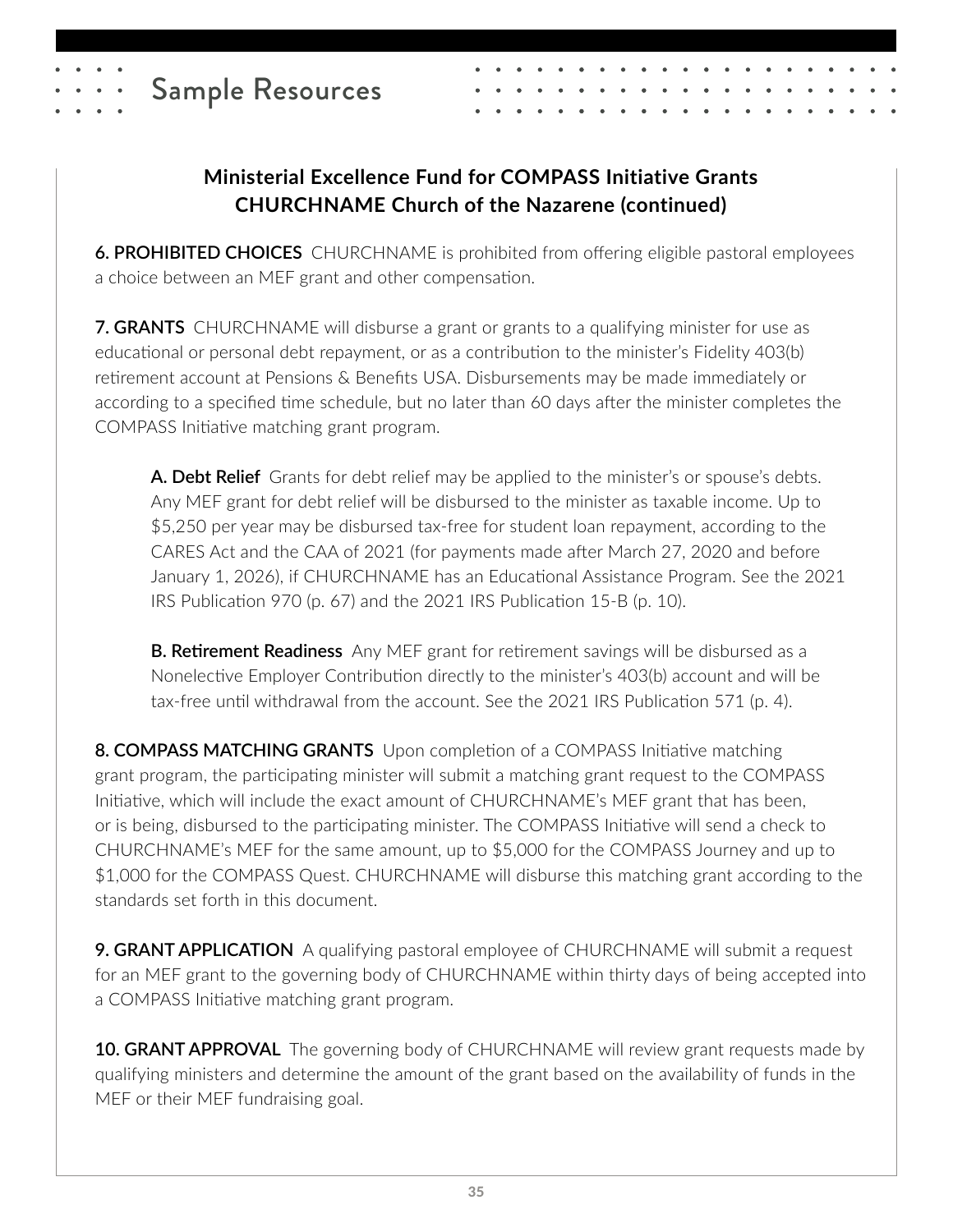

## **Ministerial Excellence Fund for COMPASS Initiative Grants CHURCHNAME Church of the Nazarene (continued)**

**6. PROHIBITED CHOICES** CHURCHNAME is prohibited from offering eligible pastoral employees a choice between an MEF grant and other compensation.

**7. GRANTS** CHURCHNAME will disburse a grant or grants to a qualifying minister for use as educational or personal debt repayment, or as a contribution to the minister's Fidelity 403(b) retirement account at Pensions & Benefits USA. Disbursements may be made immediately or according to a specified time schedule, but no later than 60 days after the minister completes the COMPASS Initiative matching grant program.

**A. Debt Relief** Grants for debt relief may be applied to the minister's or spouse's debts. Any MEF grant for debt relief will be disbursed to the minister as taxable income. Up to \$5,250 per year may be disbursed tax-free for student loan repayment, according to the CARES Act and the CAA of 2021 (for payments made after March 27, 2020 and before January 1, 2026), if CHURCHNAME has an Educational Assistance Program. See the 2021 IRS Publication 970 (p. 67) and the 2021 IRS Publication 15-B (p. 10).

**B. Retirement Readiness** Any MEF grant for retirement savings will be disbursed as a Nonelective Employer Contribution directly to the minister's 403(b) account and will be tax-free until withdrawal from the account. See the 2021 IRS Publication 571 (p. 4).

**8. COMPASS MATCHING GRANTS** Upon completion of a COMPASS Initiative matching grant program, the participating minister will submit a matching grant request to the COMPASS Initiative, which will include the exact amount of CHURCHNAME's MEF grant that has been, or is being, disbursed to the participating minister. The COMPASS Initiative will send a check to CHURCHNAME's MEF for the same amount, up to \$5,000 for the COMPASS Journey and up to \$1,000 for the COMPASS Quest. CHURCHNAME will disburse this matching grant according to the standards set forth in this document.

**9. GRANT APPLICATION** A qualifying pastoral employee of CHURCHNAME will submit a request for an MEF grant to the governing body of CHURCHNAME within thirty days of being accepted into a COMPASS Initiative matching grant program.

**10. GRANT APPROVAL** The governing body of CHURCHNAME will review grant requests made by qualifying ministers and determine the amount of the grant based on the availability of funds in the MEF or their MEF fundraising goal.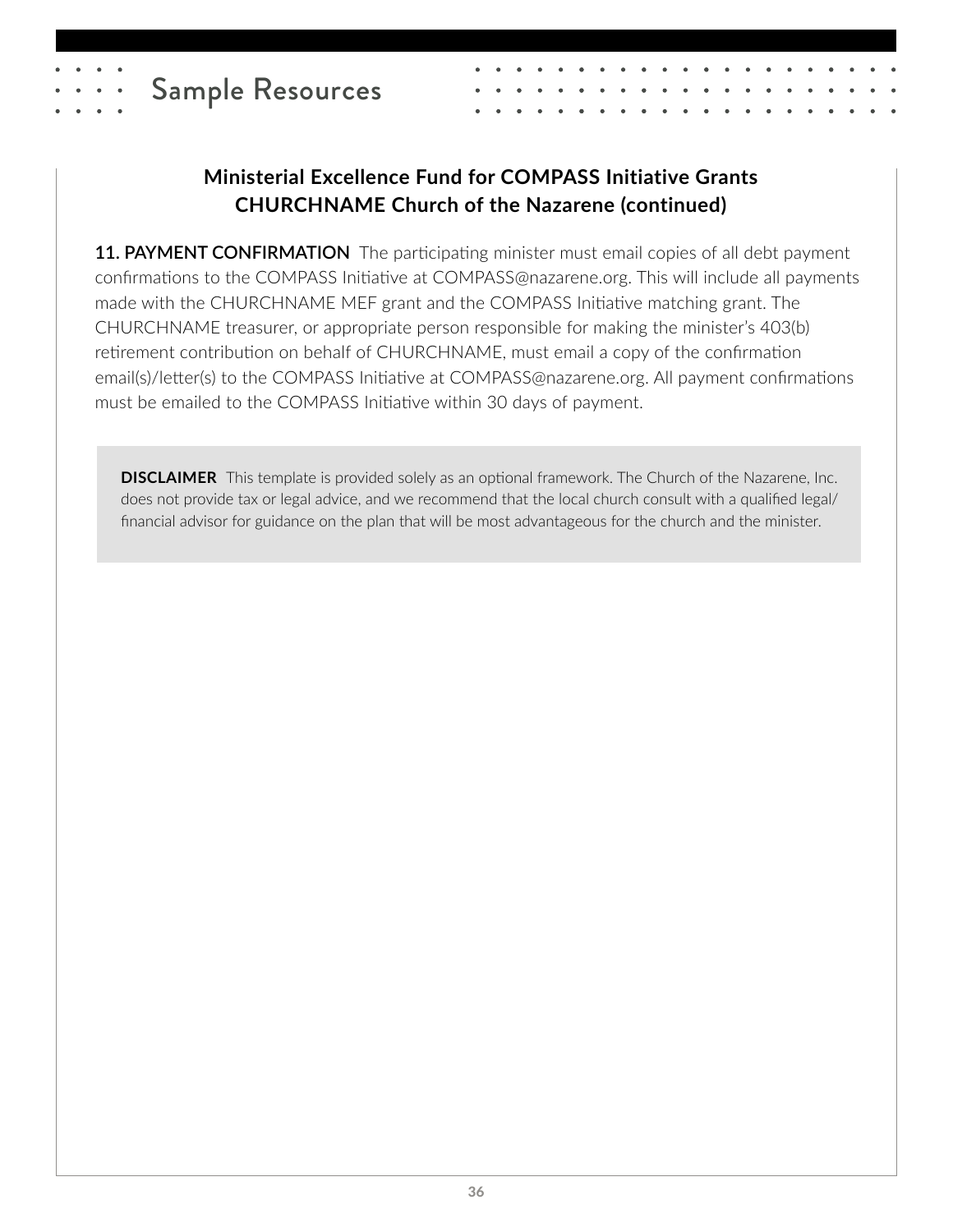

## **Ministerial Excellence Fund for COMPASS Initiative Grants CHURCHNAME Church of the Nazarene (continued)**

**11. PAYMENT CONFIRMATION** The participating minister must email copies of all debt payment confirmations to the COMPASS Initiative at COMPASS@nazarene.org. This will include all payments made with the CHURCHNAME MEF grant and the COMPASS Initiative matching grant. The CHURCHNAME treasurer, or appropriate person responsible for making the minister's 403(b) retirement contribution on behalf of CHURCHNAME, must email a copy of the confirmation email(s)/letter(s) to the COMPASS Initiative at COMPASS@nazarene.org. All payment confirmations must be emailed to the COMPASS Initiative within 30 days of payment.

**DISCLAIMER** This template is provided solely as an optional framework. The Church of the Nazarene, Inc. does not provide tax or legal advice, and we recommend that the local church consult with a qualified legal/ financial advisor for guidance on the plan that will be most advantageous for the church and the minister.